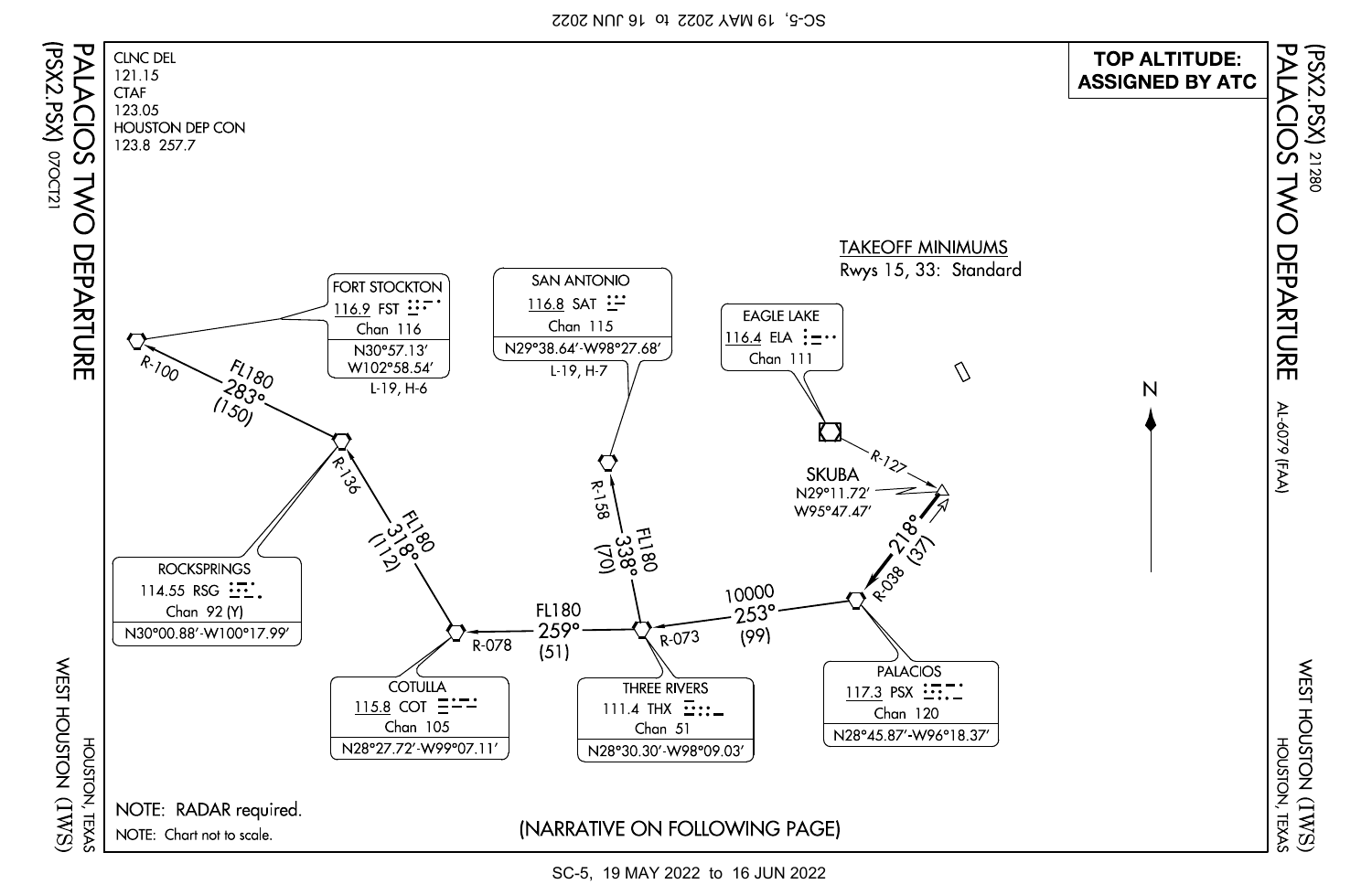SC-5, 19 MAY 2022 to 16 JUN 2022



SC-5, 19 MAY 2022 to 16 JUN 2022